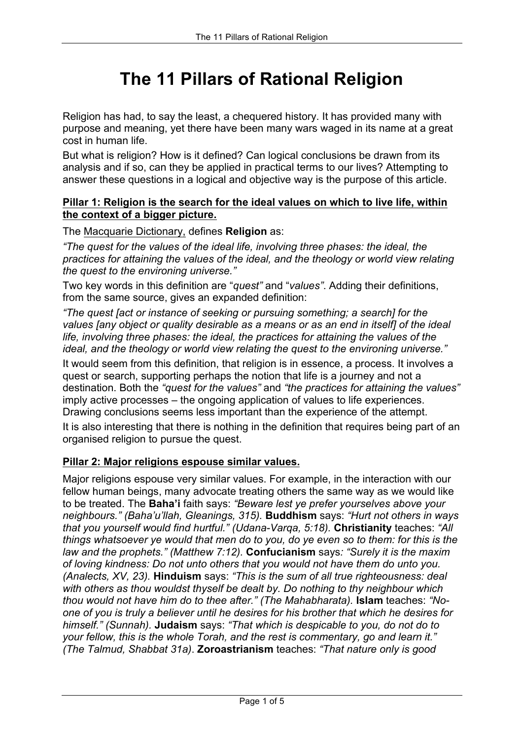# **The 11 Pillars of Rational Religion**

Religion has had, to say the least, a chequered history. It has provided many with purpose and meaning, yet there have been many wars waged in its name at a great cost in human life.

But what is religion? How is it defined? Can logical conclusions be drawn from its analysis and if so, can they be applied in practical terms to our lives? Attempting to answer these questions in a logical and objective way is the purpose of this article.

#### **Pillar 1: Religion is the search for the ideal values on which to live life, within the context of a bigger picture.**

The Macquarie Dictionary, defines **Religion** as:

*"The quest for the values of the ideal life, involving three phases: the ideal, the practices for attaining the values of the ideal, and the theology or world view relating the quest to the environing universe."* 

Two key words in this definition are "*quest"* and "*values"*. Adding their definitions, from the same source, gives an expanded definition:

*"The quest [act or instance of seeking or pursuing something; a search] for the values [any object or quality desirable as a means or as an end in itself] of the ideal life, involving three phases: the ideal, the practices for attaining the values of the ideal, and the theology or world view relating the quest to the environing universe."* 

It would seem from this definition, that religion is in essence, a process. It involves a quest or search, supporting perhaps the notion that life is a journey and not a destination. Both the *"quest for the values"* and *"the practices for attaining the values"* imply active processes – the ongoing application of values to life experiences. Drawing conclusions seems less important than the experience of the attempt.

It is also interesting that there is nothing in the definition that requires being part of an organised religion to pursue the quest.

# **Pillar 2: Major religions espouse similar values.**

Major religions espouse very similar values. For example, in the interaction with our fellow human beings, many advocate treating others the same way as we would like to be treated. The **Baha'i** faith says: *"Beware lest ye prefer yourselves above your neighbours." (Baha'u'llah, Gleanings, 315).* **Buddhism** says: *"Hurt not others in ways that you yourself would find hurtful." (Udana-Varqa, 5:18).* **Christianity** teaches: *"All things whatsoever ye would that men do to you, do ye even so to them: for this is the law and the prophets." (Matthew 7:12).* **Confucianism** says*: "Surely it is the maxim of loving kindness: Do not unto others that you would not have them do unto you. (Analects, XV, 23).* **Hinduism** says: *"This is the sum of all true righteousness: deal with others as thou wouldst thyself be dealt by. Do nothing to thy neighbour which thou would not have him do to thee after." (The Mahabharata).* **Islam** teaches: *"Noone of you is truly a believer until he desires for his brother that which he desires for himself." (Sunnah).* **Judaism** says: *"That which is despicable to you, do not do to your fellow, this is the whole Torah, and the rest is commentary, go and learn it." (The Talmud, Shabbat 31a)*. **Zoroastrianism** teaches: *"That nature only is good*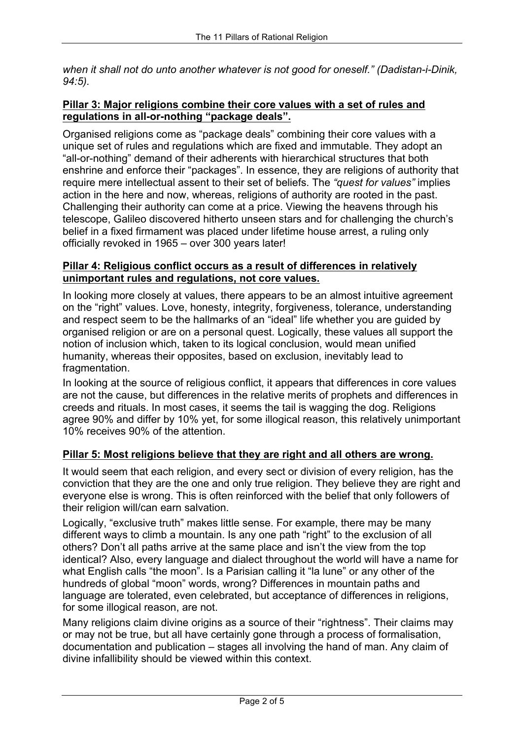*when it shall not do unto another whatever is not good for oneself." (Dadistan-i-Dinik, 94:5).*

## **Pillar 3: Major religions combine their core values with a set of rules and regulations in all-or-nothing "package deals".**

Organised religions come as "package deals" combining their core values with a unique set of rules and regulations which are fixed and immutable. They adopt an "all-or-nothing" demand of their adherents with hierarchical structures that both enshrine and enforce their "packages". In essence, they are religions of authority that require mere intellectual assent to their set of beliefs. The *"quest for values"* implies action in the here and now, whereas, religions of authority are rooted in the past. Challenging their authority can come at a price. Viewing the heavens through his telescope, Galileo discovered hitherto unseen stars and for challenging the church's belief in a fixed firmament was placed under lifetime house arrest, a ruling only officially revoked in 1965 – over 300 years later!

## **Pillar 4: Religious conflict occurs as a result of differences in relatively unimportant rules and regulations, not core values.**

In looking more closely at values, there appears to be an almost intuitive agreement on the "right" values. Love, honesty, integrity, forgiveness, tolerance, understanding and respect seem to be the hallmarks of an "ideal" life whether you are guided by organised religion or are on a personal quest. Logically, these values all support the notion of inclusion which, taken to its logical conclusion, would mean unified humanity, whereas their opposites, based on exclusion, inevitably lead to fragmentation.

In looking at the source of religious conflict, it appears that differences in core values are not the cause, but differences in the relative merits of prophets and differences in creeds and rituals. In most cases, it seems the tail is wagging the dog. Religions agree 90% and differ by 10% yet, for some illogical reason, this relatively unimportant 10% receives 90% of the attention.

### **Pillar 5: Most religions believe that they are right and all others are wrong.**

It would seem that each religion, and every sect or division of every religion, has the conviction that they are the one and only true religion. They believe they are right and everyone else is wrong. This is often reinforced with the belief that only followers of their religion will/can earn salvation.

Logically, "exclusive truth" makes little sense. For example, there may be many different ways to climb a mountain. Is any one path "right" to the exclusion of all others? Don't all paths arrive at the same place and isn't the view from the top identical? Also, every language and dialect throughout the world will have a name for what English calls "the moon". Is a Parisian calling it "la lune" or any other of the hundreds of global "moon" words, wrong? Differences in mountain paths and language are tolerated, even celebrated, but acceptance of differences in religions, for some illogical reason, are not.

Many religions claim divine origins as a source of their "rightness". Their claims may or may not be true, but all have certainly gone through a process of formalisation, documentation and publication – stages all involving the hand of man. Any claim of divine infallibility should be viewed within this context.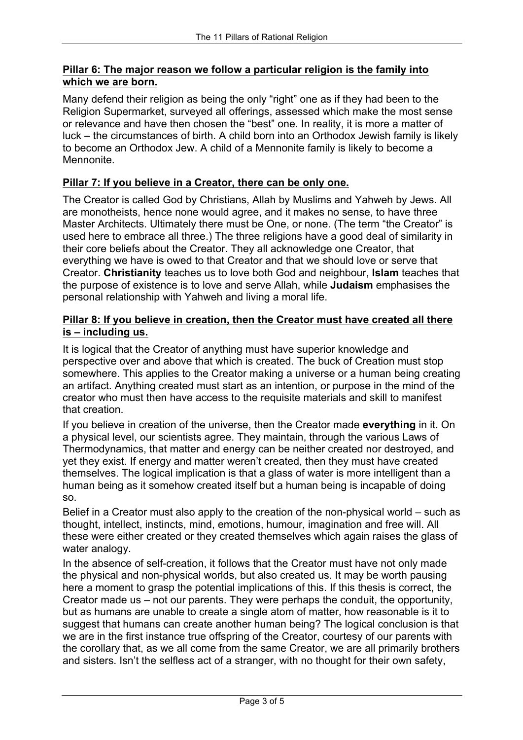## **Pillar 6: The major reason we follow a particular religion is the family into which we are born.**

Many defend their religion as being the only "right" one as if they had been to the Religion Supermarket, surveyed all offerings, assessed which make the most sense or relevance and have then chosen the "best" one. In reality, it is more a matter of luck – the circumstances of birth. A child born into an Orthodox Jewish family is likely to become an Orthodox Jew. A child of a Mennonite family is likely to become a Mennonite.

## **Pillar 7: If you believe in a Creator, there can be only one.**

The Creator is called God by Christians, Allah by Muslims and Yahweh by Jews. All are monotheists, hence none would agree, and it makes no sense, to have three Master Architects. Ultimately there must be One, or none. (The term "the Creator" is used here to embrace all three.) The three religions have a good deal of similarity in their core beliefs about the Creator. They all acknowledge one Creator, that everything we have is owed to that Creator and that we should love or serve that Creator. **Christianity** teaches us to love both God and neighbour, **Islam** teaches that the purpose of existence is to love and serve Allah, while **Judaism** emphasises the personal relationship with Yahweh and living a moral life.

#### **Pillar 8: If you believe in creation, then the Creator must have created all there is – including us.**

It is logical that the Creator of anything must have superior knowledge and perspective over and above that which is created. The buck of Creation must stop somewhere. This applies to the Creator making a universe or a human being creating an artifact. Anything created must start as an intention, or purpose in the mind of the creator who must then have access to the requisite materials and skill to manifest that creation.

If you believe in creation of the universe, then the Creator made **everything** in it. On a physical level, our scientists agree. They maintain, through the various Laws of Thermodynamics, that matter and energy can be neither created nor destroyed, and yet they exist. If energy and matter weren't created, then they must have created themselves. The logical implication is that a glass of water is more intelligent than a human being as it somehow created itself but a human being is incapable of doing so.

Belief in a Creator must also apply to the creation of the non-physical world – such as thought, intellect, instincts, mind, emotions, humour, imagination and free will. All these were either created or they created themselves which again raises the glass of water analogy.

In the absence of self-creation, it follows that the Creator must have not only made the physical and non-physical worlds, but also created us. It may be worth pausing here a moment to grasp the potential implications of this. If this thesis is correct, the Creator made us – not our parents. They were perhaps the conduit, the opportunity, but as humans are unable to create a single atom of matter, how reasonable is it to suggest that humans can create another human being? The logical conclusion is that we are in the first instance true offspring of the Creator, courtesy of our parents with the corollary that, as we all come from the same Creator, we are all primarily brothers and sisters. Isn't the selfless act of a stranger, with no thought for their own safety,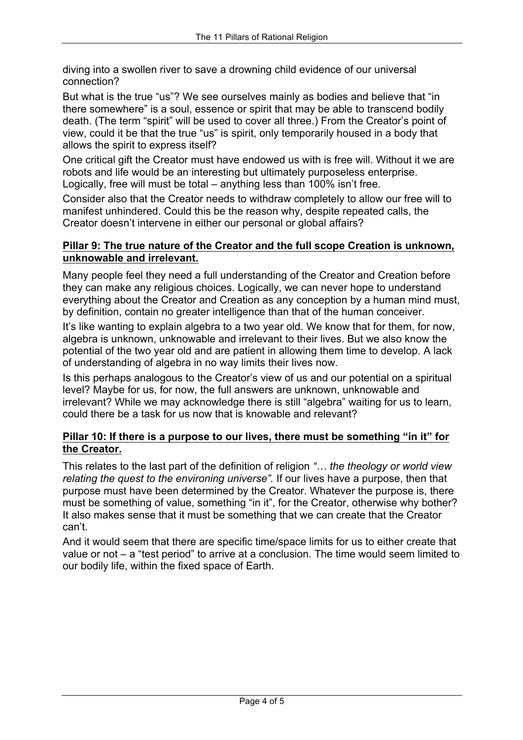diving into a swollen river to save a drowning child evidence of our universal connection?

But what is the true "us"? We see ourselves mainly as bodies and believe that "in there somewhere" is a soul, essence or spirit that may be able to transcend bodily death. (The term "spirit" will be used to cover all three.) From the Creator's point of view, could it be that the true "us" is spirit, only temporarily housed in a body that allows the spirit to express itself?

One critical gift the Creator must have endowed us with is free will. Without it we are robots and life would be an interesting but ultimately purposeless enterprise. Logically, free will must be total – anything less than 100% isn't free.

Consider also that the Creator needs to withdraw completely to allow our free will to manifest unhindered. Could this be the reason why, despite repeated calls, the Creator doesn't intervene in either our personal or global affairs?

### **Pillar 9: The true nature of the Creator and the full scope Creation is unknown, unknowable and irrelevant.**

Many people feel they need a full understanding of the Creator and Creation before they can make any religious choices. Logically, we can never hope to understand everything about the Creator and Creation as any conception by a human mind must, by definition, contain no greater intelligence than that of the human conceiver.

It's like wanting to explain algebra to a two year old. We know that for them, for now, algebra is unknown, unknowable and irrelevant to their lives. But we also know the potential of the two year old and are patient in allowing them time to develop. A lack of understanding of algebra in no way limits their lives now.

Is this perhaps analogous to the Creator's view of us and our potential on a spiritual level? Maybe for us, for now, the full answers are unknown, unknowable and irrelevant? While we may acknowledge there is still "algebra" waiting for us to learn, could there be a task for us now that is knowable and relevant?

# **Pillar 10: If there is a purpose to our lives, there must be something "in it" for the Creator.**

This relates to the last part of the definition of religion *"… the theology or world view relating the quest to the environing universe".* If our lives have a purpose, then that purpose must have been determined by the Creator. Whatever the purpose is, there must be something of value, something "in it", for the Creator, otherwise why bother? It also makes sense that it must be something that we can create that the Creator can't.

And it would seem that there are specific time/space limits for us to either create that value or not – a "test period" to arrive at a conclusion. The time would seem limited to our bodily life, within the fixed space of Earth.